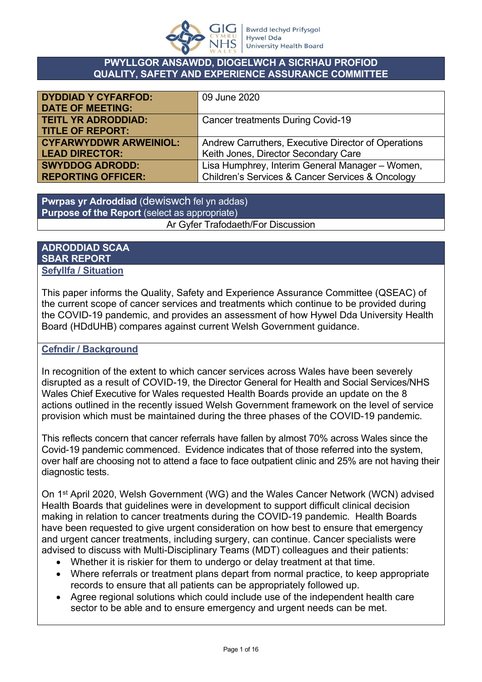

#### **PWYLLGOR ANSAWDD, DIOGELWCH A SICRHAU PROFIOD QUALITY, SAFETY AND EXPERIENCE ASSURANCE COMMITTEE**

| <b>DYDDIAD Y CYFARFOD:</b>    | 09 June 2020                                        |
|-------------------------------|-----------------------------------------------------|
| <b>DATE OF MEETING:</b>       |                                                     |
| <b>TEITL YR ADRODDIAD:</b>    | <b>Cancer treatments During Covid-19</b>            |
| <b>TITLE OF REPORT:</b>       |                                                     |
| <b>CYFARWYDDWR ARWEINIOL:</b> | Andrew Carruthers, Executive Director of Operations |
| <b>LEAD DIRECTOR:</b>         | Keith Jones, Director Secondary Care                |
| <b>SWYDDOG ADRODD:</b>        | Lisa Humphrey, Interim General Manager - Women,     |
| <b>REPORTING OFFICER:</b>     | Children's Services & Cancer Services & Oncology    |

**Pwrpas yr Adroddiad** (dewiswch fel yn addas) **Purpose of the Report** (select as appropriate) Ar Gyfer Trafodaeth/For Discussion

### **ADRODDIAD SCAA SBAR REPORT Sefyllfa / Situation**

This paper informs the Quality, Safety and Experience Assurance Committee (QSEAC) of the current scope of cancer services and treatments which continue to be provided during the COVID-19 pandemic, and provides an assessment of how Hywel Dda University Health Board (HDdUHB) compares against current Welsh Government guidance.

## **Cefndir / Background**

In recognition of the extent to which cancer services across Wales have been severely disrupted as a result of COVID-19, the Director General for Health and Social Services/NHS Wales Chief Executive for Wales requested Health Boards provide an update on the 8 actions outlined in the recently issued Welsh Government framework on the level of service provision which must be maintained during the three phases of the COVID-19 pandemic.

This reflects concern that cancer referrals have fallen by almost 70% across Wales since the Covid-19 pandemic commenced. Evidence indicates that of those referred into the system, over half are choosing not to attend a face to face outpatient clinic and 25% are not having their diagnostic tests.

On 1st April 2020, Welsh Government (WG) and the Wales Cancer Network (WCN) advised Health Boards that guidelines were in development to support difficult clinical decision making in relation to cancer treatments during the COVID-19 pandemic. Health Boards have been requested to give urgent consideration on how best to ensure that emergency and urgent cancer treatments, including surgery, can continue. Cancer specialists were advised to discuss with Multi-Disciplinary Teams (MDT) colleagues and their patients:

- Whether it is riskier for them to undergo or delay treatment at that time.
- Where referrals or treatment plans depart from normal practice, to keep appropriate records to ensure that all patients can be appropriately followed up.
- Agree regional solutions which could include use of the independent health care sector to be able and to ensure emergency and urgent needs can be met.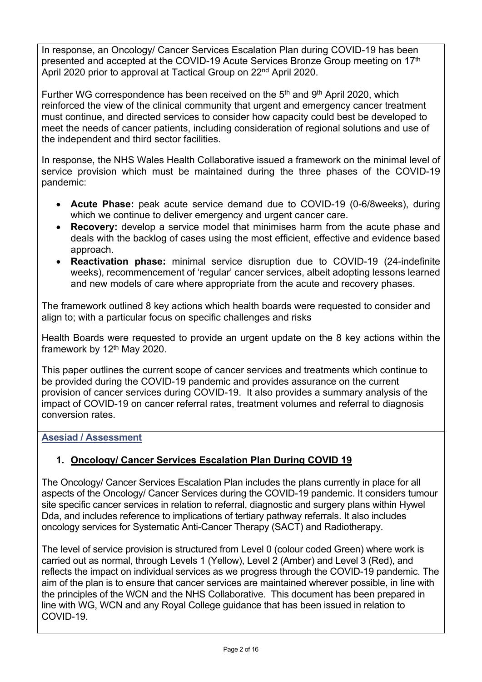In response, an Oncology/ Cancer Services Escalation Plan during COVID-19 has been presented and accepted at the COVID-19 Acute Services Bronze Group meeting on 17th April 2020 prior to approval at Tactical Group on 22nd April 2020.

Further WG correspondence has been received on the 5<sup>th</sup> and 9<sup>th</sup> April 2020, which reinforced the view of the clinical community that urgent and emergency cancer treatment must continue, and directed services to consider how capacity could best be developed to meet the needs of cancer patients, including consideration of regional solutions and use of the independent and third sector facilities.

In response, the NHS Wales Health Collaborative issued a framework on the minimal level of service provision which must be maintained during the three phases of the COVID-19 pandemic:

- **Acute Phase:** peak acute service demand due to COVID-19 (0-6/8weeks), during which we continue to deliver emergency and urgent cancer care.
- **Recovery:** develop a service model that minimises harm from the acute phase and deals with the backlog of cases using the most efficient, effective and evidence based approach.
- **Reactivation phase:** minimal service disruption due to COVID-19 (24-indefinite weeks), recommencement of 'regular' cancer services, albeit adopting lessons learned and new models of care where appropriate from the acute and recovery phases.

The framework outlined 8 key actions which health boards were requested to consider and align to; with a particular focus on specific challenges and risks

Health Boards were requested to provide an urgent update on the 8 key actions within the framework by 12<sup>th</sup> May 2020.

This paper outlines the current scope of cancer services and treatments which continue to be provided during the COVID-19 pandemic and provides assurance on the current provision of cancer services during COVID-19. It also provides a summary analysis of the impact of COVID-19 on cancer referral rates, treatment volumes and referral to diagnosis conversion rates.

## **Asesiad / Assessment**

# **1. Oncology/ Cancer Services Escalation Plan During COVID 19**

The Oncology/ Cancer Services Escalation Plan includes the plans currently in place for all aspects of the Oncology/ Cancer Services during the COVID-19 pandemic. It considers tumour site specific cancer services in relation to referral, diagnostic and surgery plans within Hywel Dda, and includes reference to implications of tertiary pathway referrals. It also includes oncology services for Systematic Anti-Cancer Therapy (SACT) and Radiotherapy.

The level of service provision is structured from Level 0 (colour coded Green) where work is carried out as normal, through Levels 1 (Yellow), Level 2 (Amber) and Level 3 (Red), and reflects the impact on individual services as we progress through the COVID-19 pandemic. The aim of the plan is to ensure that cancer services are maintained wherever possible, in line with the principles of the WCN and the NHS Collaborative. This document has been prepared in line with WG, WCN and any Royal College guidance that has been issued in relation to COVID-19.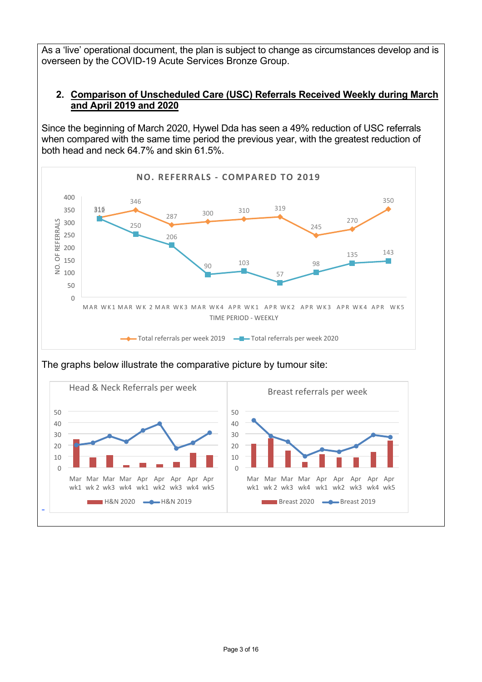As a 'live' operational document, the plan is subject to change as circumstances develop and is overseen by the COVID-19 Acute Services Bronze Group.

## **2. Comparison of Unscheduled Care (USC) Referrals Received Weekly during March and April 2019 and 2020**

Since the beginning of March 2020, Hywel Dda has seen a 49% reduction of USC referrals when compared with the same time period the previous year, with the greatest reduction of both head and neck 64.7% and skin 61.5%.





The graphs below illustrate the comparative picture by tumour site: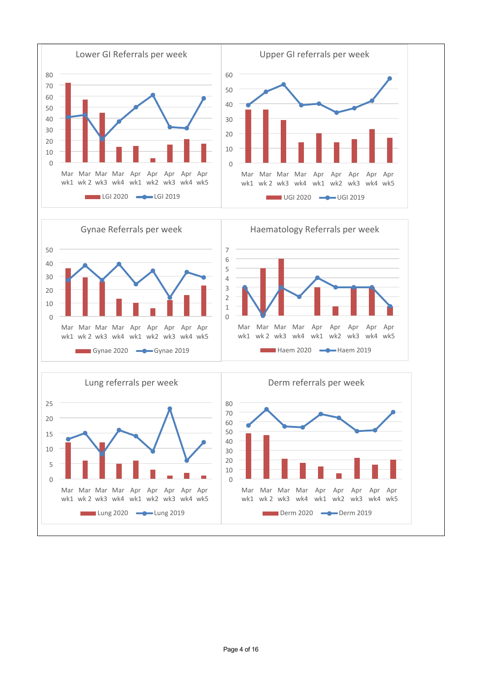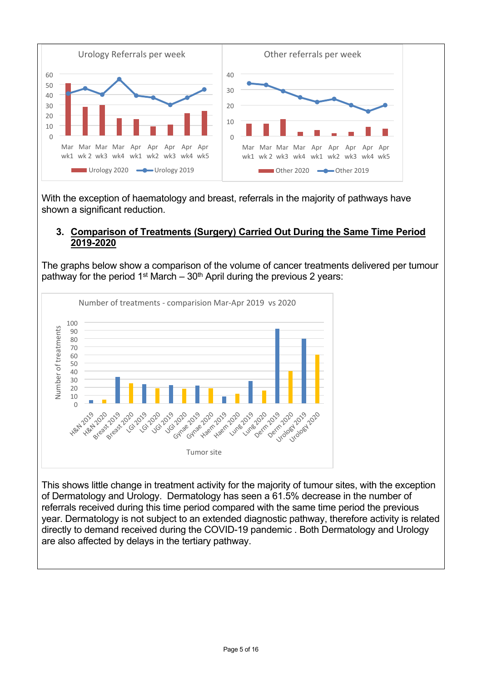

With the exception of haematology and breast, referrals in the majority of pathways have shown a significant reduction.

### **3. Comparison of Treatments (Surgery) Carried Out During the Same Time Period 2019-2020**

The graphs below show a comparison of the volume of cancer treatments delivered per tumour pathway for the period 1<sup>st</sup> March –  $30<sup>th</sup>$  April during the previous 2 years:



This shows little change in treatment activity for the majority of tumour sites, with the exception of Dermatology and Urology. Dermatology has seen a 61.5% decrease in the number of referrals received during this time period compared with the same time period the previous year. Dermatology is not subject to an extended diagnostic pathway, therefore activity is related directly to demand received during the COVID-19 pandemic . Both Dermatology and Urology are also affected by delays in the tertiary pathway.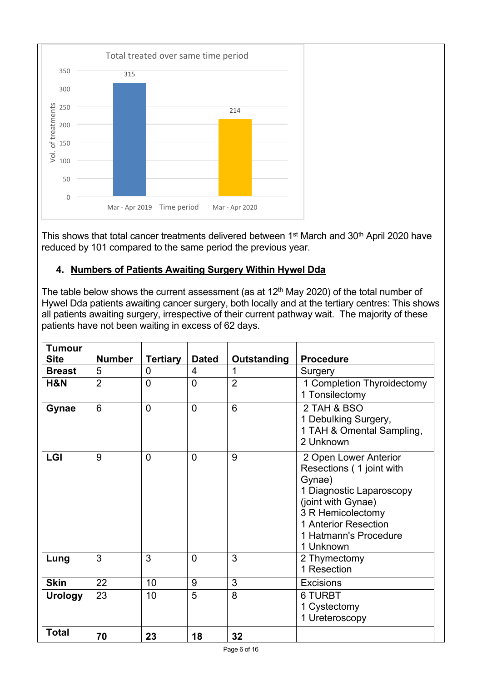

This shows that total cancer treatments delivered between 1<sup>st</sup> March and 30<sup>th</sup> April 2020 have reduced by 101 compared to the same period the previous year.

# **4. Numbers of Patients Awaiting Surgery Within Hywel Dda**

The table below shows the current assessment (as at  $12<sup>th</sup>$  May 2020) of the total number of Hywel Dda patients awaiting cancer surgery, both locally and at the tertiary centres: This shows all patients awaiting surgery, irrespective of their current pathway wait. The majority of these patients have not been waiting in excess of 62 days.

| <b>Tumour</b>  |               |                 |                |                    |                                                                                                                                                                                                  |
|----------------|---------------|-----------------|----------------|--------------------|--------------------------------------------------------------------------------------------------------------------------------------------------------------------------------------------------|
| <b>Site</b>    | <b>Number</b> | <b>Tertiary</b> | <b>Dated</b>   | <b>Outstanding</b> | <b>Procedure</b>                                                                                                                                                                                 |
| <b>Breast</b>  | 5             | $\mathbf 0$     | 4              | 1                  | Surgery                                                                                                                                                                                          |
| H&N            | 2             | $\overline{0}$  | $\overline{0}$ | $\overline{2}$     | 1 Completion Thyroidectomy<br>1 Tonsilectomy                                                                                                                                                     |
| Gynae          | 6             | $\overline{0}$  | $\overline{0}$ | 6                  | 2 TAH & BSO<br>1 Debulking Surgery,<br>1 TAH & Omental Sampling,<br>2 Unknown                                                                                                                    |
| <b>LGI</b>     | 9             | $\Omega$        | $\overline{0}$ | 9                  | 2 Open Lower Anterior<br>Resections (1 joint with<br>Gynae)<br>1 Diagnostic Laparoscopy<br>(joint with Gynae)<br>3 R Hemicolectomy<br>1 Anterior Resection<br>1 Hatmann's Procedure<br>1 Unknown |
| Lung           | 3             | 3               | $\Omega$       | 3                  | 2 Thymectomy<br>1 Resection                                                                                                                                                                      |
| <b>Skin</b>    | 22            | 10              | 9              | 3                  | <b>Excisions</b>                                                                                                                                                                                 |
| <b>Urology</b> | 23            | 10              | 5              | 8                  | <b>6 TURBT</b><br>1 Cystectomy<br>1 Ureteroscopy                                                                                                                                                 |
| <b>Total</b>   | 70            | 23              | 18             | 32                 |                                                                                                                                                                                                  |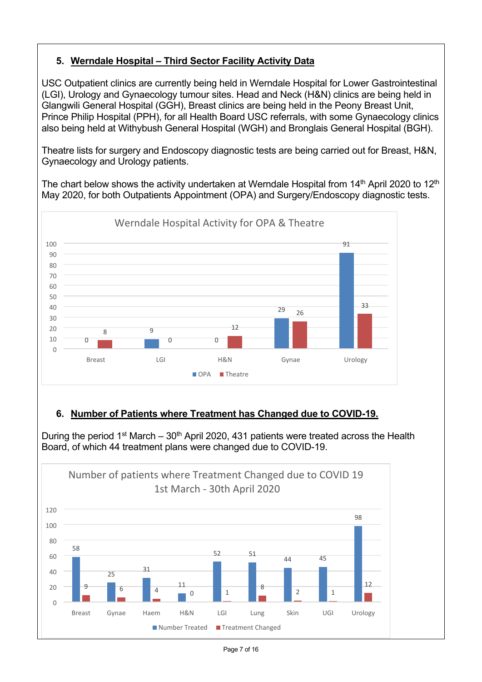# **5. Werndale Hospital – Third Sector Facility Activity Data**

USC Outpatient clinics are currently being held in Werndale Hospital for Lower Gastrointestinal (LGI), Urology and Gynaecology tumour sites. Head and Neck (H&N) clinics are being held in Glangwili General Hospital (GGH), Breast clinics are being held in the Peony Breast Unit, Prince Philip Hospital (PPH), for all Health Board USC referrals, with some Gynaecology clinics also being held at Withybush General Hospital (WGH) and Bronglais General Hospital (BGH).

Theatre lists for surgery and Endoscopy diagnostic tests are being carried out for Breast, H&N, Gynaecology and Urology patients.

The chart below shows the activity undertaken at Werndale Hospital from  $14<sup>th</sup>$  April 2020 to  $12<sup>th</sup>$ May 2020, for both Outpatients Appointment (OPA) and Surgery/Endoscopy diagnostic tests.



# **6. Number of Patients where Treatment has Changed due to COVID-19.**

During the period 1<sup>st</sup> March – 30<sup>th</sup> April 2020, 431 patients were treated across the Health Board, of which 44 treatment plans were changed due to COVID-19.

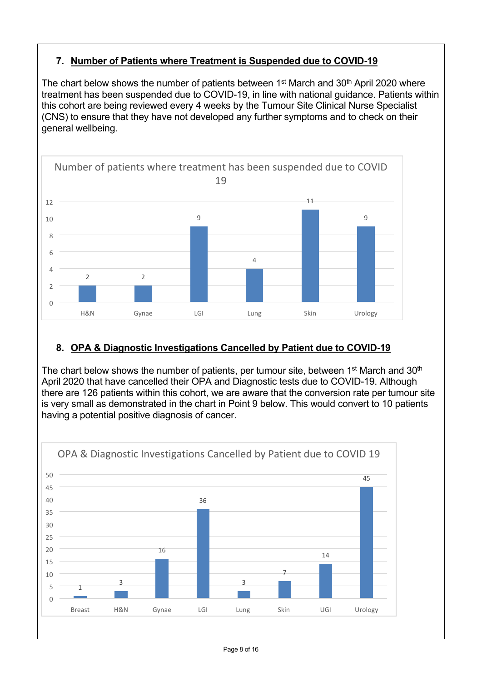# **7. Number of Patients where Treatment is Suspended due to COVID-19**

The chart below shows the number of patients between  $1<sup>st</sup>$  March and  $30<sup>th</sup>$  April 2020 where treatment has been suspended due to COVID-19, in line with national guidance. Patients within this cohort are being reviewed every 4 weeks by the Tumour Site Clinical Nurse Specialist (CNS) to ensure that they have not developed any further symptoms and to check on their general wellbeing.



# **8. OPA & Diagnostic Investigations Cancelled by Patient due to COVID-19**

The chart below shows the number of patients, per tumour site, between  $1<sup>st</sup>$  March and  $30<sup>th</sup>$ April 2020 that have cancelled their OPA and Diagnostic tests due to COVID-19. Although there are 126 patients within this cohort, we are aware that the conversion rate per tumour site is very small as demonstrated in the chart in Point 9 below. This would convert to 10 patients having a potential positive diagnosis of cancer.

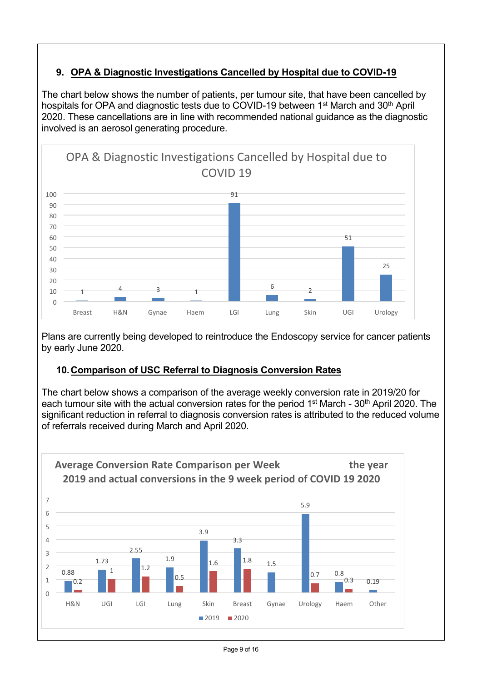# **9. OPA & Diagnostic Investigations Cancelled by Hospital due to COVID-19**

The chart below shows the number of patients, per tumour site, that have been cancelled by hospitals for OPA and diagnostic tests due to COVID-19 between 1<sup>st</sup> March and 30<sup>th</sup> April 2020. These cancellations are in line with recommended national guidance as the diagnostic involved is an aerosol generating procedure.



Plans are currently being developed to reintroduce the Endoscopy service for cancer patients by early June 2020.

## **10.Comparison of USC Referral to Diagnosis Conversion Rates**

The chart below shows a comparison of the average weekly conversion rate in 2019/20 for each tumour site with the actual conversion rates for the period 1<sup>st</sup> March - 30<sup>th</sup> April 2020. The significant reduction in referral to diagnosis conversion rates is attributed to the reduced volume of referrals received during March and April 2020.

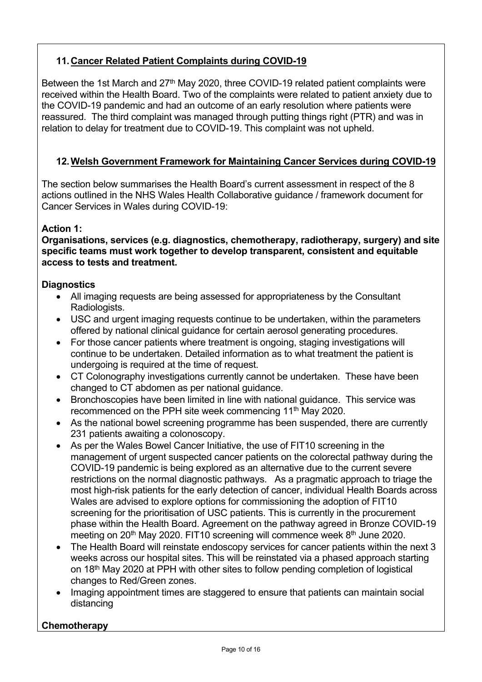# **11.Cancer Related Patient Complaints during COVID-19**

Between the 1st March and  $27<sup>th</sup>$  May 2020, three COVID-19 related patient complaints were received within the Health Board. Two of the complaints were related to patient anxiety due to the COVID-19 pandemic and had an outcome of an early resolution where patients were reassured. The third complaint was managed through putting things right (PTR) and was in relation to delay for treatment due to COVID-19. This complaint was not upheld.

# **12.Welsh Government Framework for Maintaining Cancer Services during COVID-19**

The section below summarises the Health Board's current assessment in respect of the 8 actions outlined in the NHS Wales Health Collaborative guidance / framework document for Cancer Services in Wales during COVID-19:

## **Action 1:**

**Organisations, services (e.g. diagnostics, chemotherapy, radiotherapy, surgery) and site specific teams must work together to develop transparent, consistent and equitable access to tests and treatment.**

### **Diagnostics**

- All imaging requests are being assessed for appropriateness by the Consultant Radiologists.
- USC and urgent imaging requests continue to be undertaken, within the parameters offered by national clinical guidance for certain aerosol generating procedures.
- For those cancer patients where treatment is ongoing, staging investigations will continue to be undertaken. Detailed information as to what treatment the patient is undergoing is required at the time of request.
- CT Colonography investigations currently cannot be undertaken. These have been changed to CT abdomen as per national guidance.
- Bronchoscopies have been limited in line with national guidance. This service was recommenced on the PPH site week commencing 11<sup>th</sup> May 2020.
- As the national bowel screening programme has been suspended, there are currently 231 patients awaiting a colonoscopy.
- As per the Wales Bowel Cancer Initiative, the use of FIT10 screening in the management of urgent suspected cancer patients on the colorectal pathway during the COVID-19 pandemic is being explored as an alternative due to the current severe restrictions on the normal diagnostic pathways. As a pragmatic approach to triage the most high-risk patients for the early detection of cancer, individual Health Boards across Wales are advised to explore options for commissioning the adoption of FIT10 screening for the prioritisation of USC patients. This is currently in the procurement phase within the Health Board. Agreement on the pathway agreed in Bronze COVID-19 meeting on 20<sup>th</sup> May 2020. FIT10 screening will commence week 8<sup>th</sup> June 2020.
- The Health Board will reinstate endoscopy services for cancer patients within the next 3 weeks across our hospital sites. This will be reinstated via a phased approach starting on 18th May 2020 at PPH with other sites to follow pending completion of logistical changes to Red/Green zones.
- Imaging appointment times are staggered to ensure that patients can maintain social distancing

## **Chemotherapy**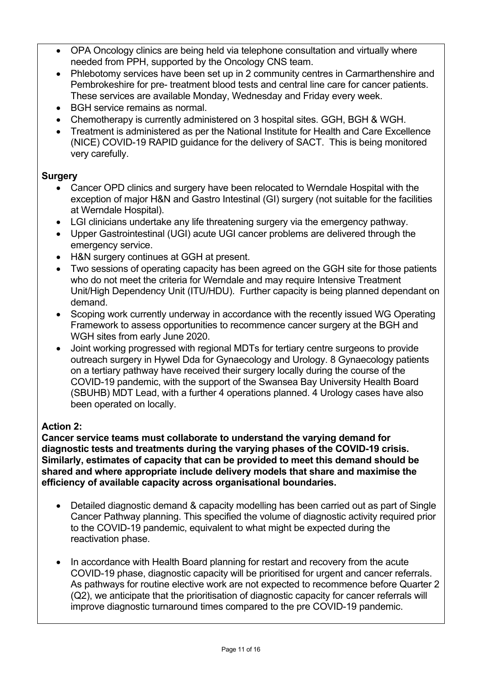- OPA Oncology clinics are being held via telephone consultation and virtually where needed from PPH, supported by the Oncology CNS team.
- Phlebotomy services have been set up in 2 community centres in Carmarthenshire and Pembrokeshire for pre- treatment blood tests and central line care for cancer patients. These services are available Monday, Wednesday and Friday every week.
- BGH service remains as normal.
- Chemotherapy is currently administered on 3 hospital sites. GGH, BGH & WGH.
- Treatment is administered as per the National Institute for Health and Care Excellence (NICE) COVID-19 RAPID guidance for the delivery of SACT. This is being monitored very carefully.

## **Surgery**

- Cancer OPD clinics and surgery have been relocated to Werndale Hospital with the exception of major H&N and Gastro Intestinal (GI) surgery (not suitable for the facilities at Werndale Hospital).
- LGI clinicians undertake any life threatening surgery via the emergency pathway.
- Upper Gastrointestinal (UGI) acute UGI cancer problems are delivered through the emergency service.
- H&N surgery continues at GGH at present.
- Two sessions of operating capacity has been agreed on the GGH site for those patients who do not meet the criteria for Werndale and may require Intensive Treatment Unit/High Dependency Unit (ITU/HDU). Further capacity is being planned dependant on demand.
- Scoping work currently underway in accordance with the recently issued WG Operating Framework to assess opportunities to recommence cancer surgery at the BGH and WGH sites from early June 2020.
- Joint working progressed with regional MDTs for tertiary centre surgeons to provide outreach surgery in Hywel Dda for Gynaecology and Urology. 8 Gynaecology patients on a tertiary pathway have received their surgery locally during the course of the COVID-19 pandemic, with the support of the Swansea Bay University Health Board (SBUHB) MDT Lead, with a further 4 operations planned. 4 Urology cases have also been operated on locally.

## **Action 2:**

**Cancer service teams must collaborate to understand the varying demand for diagnostic tests and treatments during the varying phases of the COVID-19 crisis. Similarly, estimates of capacity that can be provided to meet this demand should be shared and where appropriate include delivery models that share and maximise the efficiency of available capacity across organisational boundaries.** 

- Detailed diagnostic demand & capacity modelling has been carried out as part of Single Cancer Pathway planning. This specified the volume of diagnostic activity required prior to the COVID-19 pandemic, equivalent to what might be expected during the reactivation phase.
- In accordance with Health Board planning for restart and recovery from the acute COVID-19 phase, diagnostic capacity will be prioritised for urgent and cancer referrals. As pathways for routine elective work are not expected to recommence before Quarter 2 (Q2), we anticipate that the prioritisation of diagnostic capacity for cancer referrals will improve diagnostic turnaround times compared to the pre COVID-19 pandemic.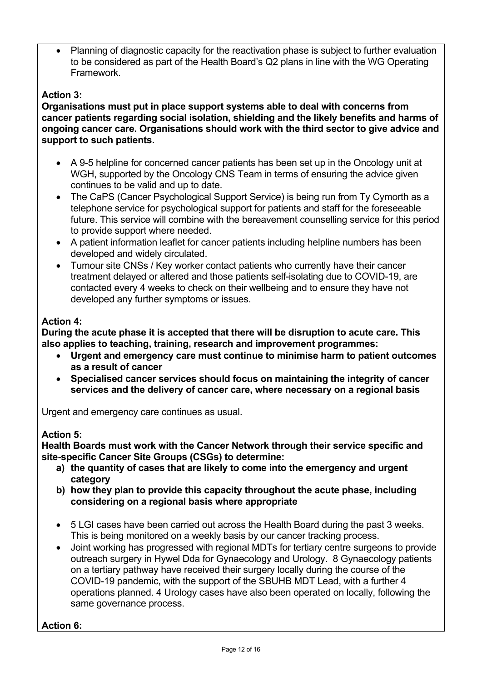Planning of diagnostic capacity for the reactivation phase is subject to further evaluation to be considered as part of the Health Board's Q2 plans in line with the WG Operating Framework.

## **Action 3:**

**Organisations must put in place support systems able to deal with concerns from cancer patients regarding social isolation, shielding and the likely benefits and harms of ongoing cancer care. Organisations should work with the third sector to give advice and support to such patients.**

- A 9-5 helpline for concerned cancer patients has been set up in the Oncology unit at WGH, supported by the Oncology CNS Team in terms of ensuring the advice given continues to be valid and up to date.
- The CaPS (Cancer Psychological Support Service) is being run from Ty Cymorth as a telephone service for psychological support for patients and staff for the foreseeable future. This service will combine with the bereavement counselling service for this period to provide support where needed.
- A patient information leaflet for cancer patients including helpline numbers has been developed and widely circulated.
- Tumour site CNSs / Key worker contact patients who currently have their cancer treatment delayed or altered and those patients self-isolating due to COVID-19, are contacted every 4 weeks to check on their wellbeing and to ensure they have not developed any further symptoms or issues.

### **Action 4:**

**During the acute phase it is accepted that there will be disruption to acute care. This also applies to teaching, training, research and improvement programmes:**

- **Urgent and emergency care must continue to minimise harm to patient outcomes as a result of cancer**
- **Specialised cancer services should focus on maintaining the integrity of cancer services and the delivery of cancer care, where necessary on a regional basis**

Urgent and emergency care continues as usual.

#### **Action 5:**

**Health Boards must work with the Cancer Network through their service specific and site-specific Cancer Site Groups (CSGs) to determine:**

- **a) the quantity of cases that are likely to come into the emergency and urgent category**
- **b) how they plan to provide this capacity throughout the acute phase, including considering on a regional basis where appropriate**
- 5 LGI cases have been carried out across the Health Board during the past 3 weeks. This is being monitored on a weekly basis by our cancer tracking process.
- Joint working has progressed with regional MDTs for tertiary centre surgeons to provide outreach surgery in Hywel Dda for Gynaecology and Urology. 8 Gynaecology patients on a tertiary pathway have received their surgery locally during the course of the COVID-19 pandemic, with the support of the SBUHB MDT Lead, with a further 4 operations planned. 4 Urology cases have also been operated on locally, following the same governance process.

### **Action 6:**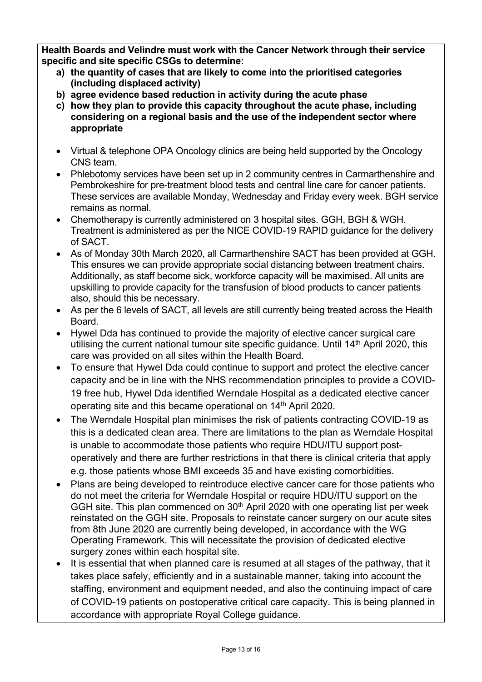**Health Boards and Velindre must work with the Cancer Network through their service specific and site specific CSGs to determine:**

- **a) the quantity of cases that are likely to come into the prioritised categories (including displaced activity)**
- **b) agree evidence based reduction in activity during the acute phase**
- **c) how they plan to provide this capacity throughout the acute phase, including considering on a regional basis and the use of the independent sector where appropriate**
- Virtual & telephone OPA Oncology clinics are being held supported by the Oncology CNS team.
- Phlebotomy services have been set up in 2 community centres in Carmarthenshire and Pembrokeshire for pre-treatment blood tests and central line care for cancer patients. These services are available Monday, Wednesday and Friday every week. BGH service remains as normal.
- Chemotherapy is currently administered on 3 hospital sites. GGH, BGH & WGH. Treatment is administered as per the NICE COVID-19 RAPID guidance for the delivery of SACT.
- As of Monday 30th March 2020, all Carmarthenshire SACT has been provided at GGH. This ensures we can provide appropriate social distancing between treatment chairs. Additionally, as staff become sick, workforce capacity will be maximised. All units are upskilling to provide capacity for the transfusion of blood products to cancer patients also, should this be necessary.
- As per the 6 levels of SACT, all levels are still currently being treated across the Health Board.
- Hywel Dda has continued to provide the majority of elective cancer surgical care utilising the current national tumour site specific guidance. Until 14th April 2020, this care was provided on all sites within the Health Board.
- To ensure that Hywel Dda could continue to support and protect the elective cancer capacity and be in line with the NHS recommendation principles to provide a COVID-19 free hub, Hywel Dda identified Werndale Hospital as a dedicated elective cancer operating site and this became operational on 14th April 2020.
- The Werndale Hospital plan minimises the risk of patients contracting COVID-19 as this is a dedicated clean area. There are limitations to the plan as Werndale Hospital is unable to accommodate those patients who require HDU/ITU support postoperatively and there are further restrictions in that there is clinical criteria that apply e.g. those patients whose BMI exceeds 35 and have existing comorbidities.
- Plans are being developed to reintroduce elective cancer care for those patients who do not meet the criteria for Werndale Hospital or require HDU/ITU support on the GGH site. This plan commenced on 30<sup>th</sup> April 2020 with one operating list per week reinstated on the GGH site. Proposals to reinstate cancer surgery on our acute sites from 8th June 2020 are currently being developed, in accordance with the WG Operating Framework. This will necessitate the provision of dedicated elective surgery zones within each hospital site.
- It is essential that when planned care is resumed at all stages of the pathway, that it takes place safely, efficiently and in a sustainable manner, taking into account the staffing, environment and equipment needed, and also the continuing impact of care of COVID-19 patients on postoperative critical care capacity. This is being planned in accordance with appropriate Royal College guidance.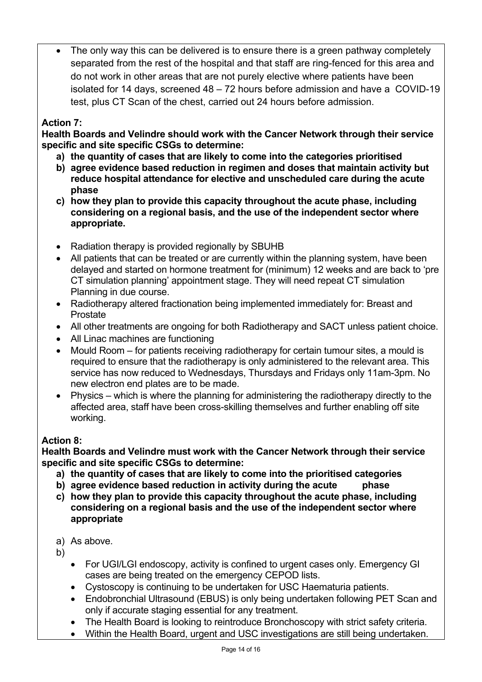The only way this can be delivered is to ensure there is a green pathway completely separated from the rest of the hospital and that staff are ring-fenced for this area and do not work in other areas that are not purely elective where patients have been isolated for 14 days, screened 48 – 72 hours before admission and have a COVID-19 test, plus CT Scan of the chest, carried out 24 hours before admission.

## **Action 7:**

**Health Boards and Velindre should work with the Cancer Network through their service specific and site specific CSGs to determine:** 

- **a) the quantity of cases that are likely to come into the categories prioritised**
- **b) agree evidence based reduction in regimen and doses that maintain activity but reduce hospital attendance for elective and unscheduled care during the acute phase**
- **c) how they plan to provide this capacity throughout the acute phase, including considering on a regional basis, and the use of the independent sector where appropriate.**
- Radiation therapy is provided regionally by SBUHB
- All patients that can be treated or are currently within the planning system, have been delayed and started on hormone treatment for (minimum) 12 weeks and are back to 'pre CT simulation planning' appointment stage. They will need repeat CT simulation Planning in due course.
- Radiotherapy altered fractionation being implemented immediately for: Breast and Prostate
- All other treatments are ongoing for both Radiotherapy and SACT unless patient choice.
- All Linac machines are functioning
- Mould Room for patients receiving radiotherapy for certain tumour sites, a mould is required to ensure that the radiotherapy is only administered to the relevant area. This service has now reduced to Wednesdays, Thursdays and Fridays only 11am-3pm. No new electron end plates are to be made.
- Physics which is where the planning for administering the radiotherapy directly to the affected area, staff have been cross-skilling themselves and further enabling off site working.

## **Action 8:**

**Health Boards and Velindre must work with the Cancer Network through their service specific and site specific CSGs to determine:**

- **a) the quantity of cases that are likely to come into the prioritised categories**
- **b) agree evidence based reduction in activity during the acute phase**
- **c) how they plan to provide this capacity throughout the acute phase, including considering on a regional basis and the use of the independent sector where appropriate**
- a) As above.
- b)
	- For UGI/LGI endoscopy, activity is confined to urgent cases only. Emergency GI cases are being treated on the emergency CEPOD lists.
	- Cystoscopy is continuing to be undertaken for USC Haematuria patients.
	- Endobronchial Ultrasound (EBUS) is only being undertaken following PET Scan and only if accurate staging essential for any treatment.
	- The Health Board is looking to reintroduce Bronchoscopy with strict safety criteria.
	- Within the Health Board, urgent and USC investigations are still being undertaken.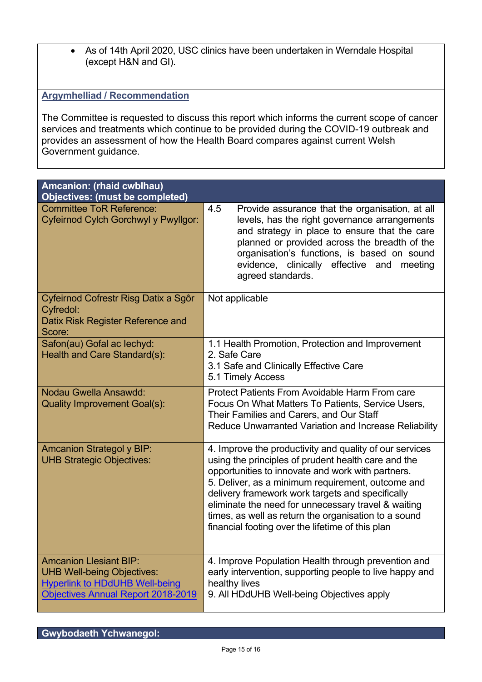As of 14th April 2020, USC clinics have been undertaken in Werndale Hospital (except H&N and GI).

### **Argymhelliad / Recommendation**

The Committee is requested to discuss this report which informs the current scope of cancer services and treatments which continue to be provided during the COVID-19 outbreak and provides an assessment of how the Health Board compares against current Welsh Government guidance.

| Amcanion: (rhaid cwblhau)<br><b>Objectives: (must be completed)</b>                                                                               |                                                                                                                                                                                                                                                                                                                                                                                                                                                 |  |  |  |
|---------------------------------------------------------------------------------------------------------------------------------------------------|-------------------------------------------------------------------------------------------------------------------------------------------------------------------------------------------------------------------------------------------------------------------------------------------------------------------------------------------------------------------------------------------------------------------------------------------------|--|--|--|
| <b>Committee ToR Reference:</b><br>Cyfeirnod Cylch Gorchwyl y Pwyllgor:                                                                           | 4.5<br>Provide assurance that the organisation, at all<br>levels, has the right governance arrangements<br>and strategy in place to ensure that the care<br>planned or provided across the breadth of the<br>organisation's functions, is based on sound<br>evidence, clinically effective and meeting<br>agreed standards.                                                                                                                     |  |  |  |
| Cyfeirnod Cofrestr Risg Datix a Sgôr<br>Cyfredol:<br>Datix Risk Register Reference and<br>Score:                                                  | Not applicable                                                                                                                                                                                                                                                                                                                                                                                                                                  |  |  |  |
| Safon(au) Gofal ac lechyd:<br>Health and Care Standard(s):                                                                                        | 1.1 Health Promotion, Protection and Improvement<br>2. Safe Care<br>3.1 Safe and Clinically Effective Care<br>5.1 Timely Access                                                                                                                                                                                                                                                                                                                 |  |  |  |
| Nodau Gwella Ansawdd:<br><b>Quality Improvement Goal(s):</b>                                                                                      | Protect Patients From Avoidable Harm From care<br>Focus On What Matters To Patients, Service Users,<br>Their Families and Carers, and Our Staff<br><b>Reduce Unwarranted Variation and Increase Reliability</b>                                                                                                                                                                                                                                 |  |  |  |
| <b>Amcanion Strategol y BIP:</b><br><b>UHB Strategic Objectives:</b>                                                                              | 4. Improve the productivity and quality of our services<br>using the principles of prudent health care and the<br>opportunities to innovate and work with partners.<br>5. Deliver, as a minimum requirement, outcome and<br>delivery framework work targets and specifically<br>eliminate the need for unnecessary travel & waiting<br>times, as well as return the organisation to a sound<br>financial footing over the lifetime of this plan |  |  |  |
| <b>Amcanion Llesiant BIP:</b><br><b>UHB Well-being Objectives:</b><br><b>Hyperlink to HDdUHB Well-being</b><br>Objectives Annual Report 2018-2019 | 4. Improve Population Health through prevention and<br>early intervention, supporting people to live happy and<br>healthy lives<br>9. All HDdUHB Well-being Objectives apply                                                                                                                                                                                                                                                                    |  |  |  |